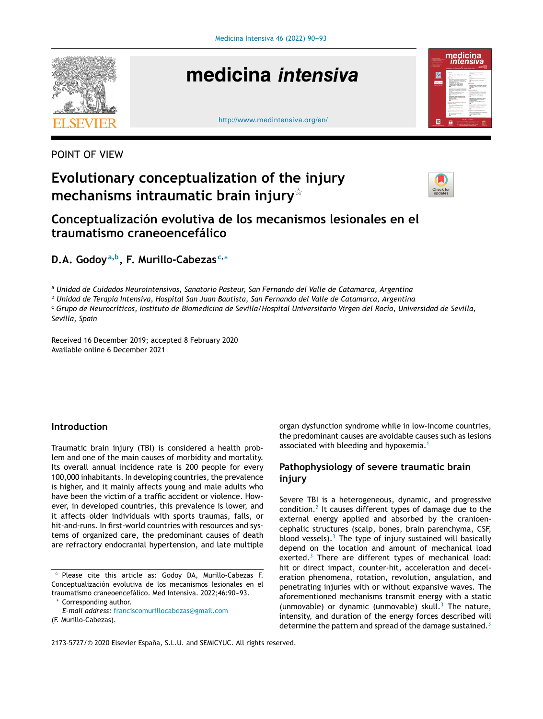

# medicina intensiva





# POINT OF VIEW

# **Evolutionary conceptualization of the injury mechanisms intraumatic brain injury**-



**Conceptualización evolutiva de los mecanismos lesionales en el traumatismo craneoencefálico**

**D.A. Godoy<sup>a</sup>**,**<sup>b</sup> , F. Murillo-Cabezas <sup>c</sup>**,<sup>∗</sup>

<sup>a</sup> *Unidad de Cuidados Neurointensivos, Sanatorio Pasteur, San Fernando del Valle de Catamarca, Argentina*

<sup>b</sup> *Unidad de Terapia Intensiva, Hospital San Juan Bautista, San Fernando del Valle de Catamarca, Argentina*

<sup>c</sup> Grupo de Neurocríticos, Instituto de Biomedicina de Sevilla/Hospital Universitario Virgen del Rocío, Universidad de Sevilla, *Sevilla, Spain*

Received 16 December 2019; accepted 8 February 2020 Available online 6 December 2021

## **Introduction**

Traumatic brain injury (TBI) is considered a health problem and one of the main causes of morbidity and mortality. Its overall annual incidence rate is 200 people for every 100,000 inhabitants. In developing countries, the prevalence is higher, and it mainly affects young and male adults who have been the victim of a traffic accident or violence. However, in developed countries, this prevalence is lower, and it affects older individuals with sports traumas, falls, or hit-and-runs. In first-world countries with resources and systems of organized care, the predominant causes of death are refractory endocranial hypertension, and late multiple

Corresponding author.

organ dysfunction syndrome while in low-income countries, the predominant causes are avoidable causes such as lesions associated with bleeding and hypoxemia.<sup>[1](#page-3-0)</sup>

# **Pathophysiology of severe traumatic brain injury**

Severe TBI is a heterogeneous, dynamic, and progressive condition. $2$  It causes different types of damage due to the external energy applied and absorbed by the cranioencephalic structures (scalp, bones, brain parenchyma, CSF, blood vessels). $3$  The type of injury sustained will basically depend on the location and amount of mechanical load exerted.<sup>[3](#page-3-0)</sup> There are different types of mechanical load: hit or direct impact, counter-hit, acceleration and deceleration phenomena, rotation, revolution, angulation, and penetrating injuries with or without expansive waves. The aforementioned mechanisms transmit energy with a static (unmovable) or dynamic (unmovable) skull.<sup>[3](#page-3-0)</sup> The nature, intensity, and duration of the energy forces described will determine the pattern and spread of the damage sustained.<sup>[3](#page-3-0)</sup>

2173-5727/© 2020 Elsevier España, S.L.U. and SEMICYUC. All rights reserved.

 $\overline{\mathbf{x}}$  Please cite this article as: Godoy DA, Murillo-Cabezas F. Conceptualización evolutiva de los mecanismos lesionales en el traumatismo craneoencefálico. Med Intensiva. 2022;46:90-93.

*E-mail address:* [franciscomurillocabezas@gmail.com](mailto:franciscomurillocabezas@gmail.com) (F. Murillo-Cabezas).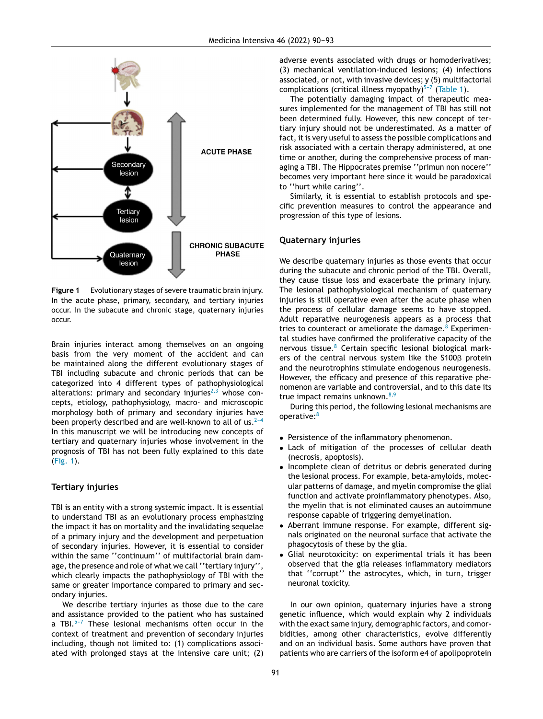

**Figure 1** Evolutionary stages of severe traumatic brain injury. In the acute phase, primary, secondary, and tertiary injuries occur. In the subacute and chronic stage, quaternary injuries occur.

Brain injuries interact among themselves on an ongoing basis from the very moment of the accident and can be maintained along the different evolutionary stages of TBI including subacute and chronic periods that can be categorized into 4 different types of pathophysiological alterations: primary and secondary injuries<sup> $2,3$ </sup> whose concepts, etiology, pathophysiology, macro- and microscopic morphology both of primary and secondary injuries have been properly described and are well-known to all of us. $2-4$ In this manuscript we will be introducing new concepts of tertiary and quaternary injuries whose involvement in the prognosis of TBI has not been fully explained to this date (Fig. 1).

#### **Tertiary injuries**

TBI is an entity with a strong systemic impact. It is essential to understand TBI as an evolutionary process emphasizing the impact it has on mortality and the invalidating sequelae of a primary injury and the development and perpetuation of secondary injuries. However, it is essential to consider within the same ''continuum'' of multifactorial brain damage, the presence and role of what we call "tertiary injury", which clearly impacts the pathophysiology of TBI with the same or greater importance compared to primary and secondary injuries.

We describe tertiary injuries as those due to the care and assistance provided to the patient who has sustained a TBI. $5-7$  These lesional mechanisms often occur in the context of treatment and prevention of secondary injuries including, though not limited to: (1) complications associated with prolonged stays at the intensive care unit; (2) adverse events associated with drugs or homoderivatives; (3) mechanical ventilation-induced lesions; (4) infections associated, or not, with invasive devices; y (5) multifactorial complications (critical illness myopathy) $5-7$  ([Table](#page-2-0) 1).

The potentially damaging impact of therapeutic measures implemented for the management of TBI has still not been determined fully. However, this new concept of tertiary injury should not be underestimated. As a matter of fact, it is very useful to assess the possible complications and risk associated with a certain therapy administered, at one time or another, during the comprehensive process of managing a TBI. The Hippocrates premise ''primun non nocere'' becomes very important here since it would be paradoxical to ''hurt while caring''.

Similarly, it is essential to establish protocols and specific prevention measures to control the appearance and progression of this type of lesions.

#### **Quaternary injuries**

We describe quaternary injuries as those events that occur during the subacute and chronic period of the TBI. Overall, they cause tissue loss and exacerbate the primary injury. The lesional pathophysiological mechanism of quaternary injuries is still operative even after the acute phase when the process of cellular damage seems to have stopped. Adult reparative neurogenesis appears as a process that tries to counteract or ameliorate the damage.  $8$  Experimental studies have confirmed the proliferative capacity of the nervous tissue.<sup>[8](#page-3-0)</sup> Certain specific lesional biological markers of the central nervous system like the  $$100\beta$  protein and the neurotrophins stimulate endogenous neurogenesis. However, the efficacy and presence of this reparative phenomenon are variable and controversial, and to this date its true impact remains unknown. $8,9$ 

During this period, the following lesional mechanisms are operative:<sup>[8](#page-3-0)</sup>

- Persistence of the inflammatory phenomenon.
- Lack of mitigation of the processes of cellular death (necrosis, apoptosis).
- Incomplete clean of detritus or debris generated during the lesional process. For example, beta-amyloids, molecular patterns of damage, and myelin compromise the glial function and activate proinflammatory phenotypes. Also, the myelin that is not eliminated causes an autoimmune response capable of triggering demyelination.
- Aberrant immune response. For example, different signals originated on the neuronal surface that activate the phagocytosis of these by the glia.
- Glial neurotoxicity: on experimental trials it has been observed that the glia releases inflammatory mediators that ''corrupt'' the astrocytes, which, in turn, trigger neuronal toxicity.

In our own opinion, quaternary injuries have a strong genetic influence, which would explain why 2 individuals with the exact same injury, demographic factors, and comorbidities, among other characteristics, evolve differently and on an individual basis. Some authors have proven that patients who are carriers of the isoform e4 of apolipoprotein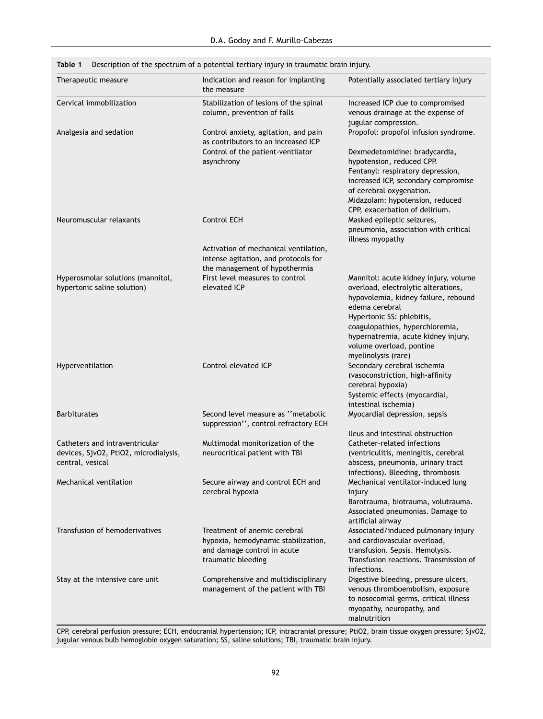| Therapeutic measure                                                                         | Indication and reason for implanting<br>the measure                                                                      | Potentially associated tertiary injury                                                                                                                                                                                                                                                           |
|---------------------------------------------------------------------------------------------|--------------------------------------------------------------------------------------------------------------------------|--------------------------------------------------------------------------------------------------------------------------------------------------------------------------------------------------------------------------------------------------------------------------------------------------|
| Cervical immobilization                                                                     | Stabilization of lesions of the spinal<br>column, prevention of falls                                                    | Increased ICP due to compromised<br>venous drainage at the expense of<br>jugular compression.                                                                                                                                                                                                    |
| Analgesia and sedation                                                                      | Control anxiety, agitation, and pain<br>as contributors to an increased ICP                                              | Propofol: propofol infusion syndrome.                                                                                                                                                                                                                                                            |
|                                                                                             | Control of the patient-ventilator<br>asynchrony                                                                          | Dexmedetomidine: bradycardia,<br>hypotension, reduced CPP.<br>Fentanyl: respiratory depression,<br>increased ICP, secondary compromise<br>of cerebral oxygenation.<br>Midazolam: hypotension, reduced<br>CPP, exacerbation of delirium.                                                          |
| Neuromuscular relaxants                                                                     | Control ECH                                                                                                              | Masked epileptic seizures,<br>pneumonia, association with critical<br>illness myopathy                                                                                                                                                                                                           |
|                                                                                             | Activation of mechanical ventilation,<br>intense agitation, and protocols for<br>the management of hypothermia           |                                                                                                                                                                                                                                                                                                  |
| Hyperosmolar solutions (mannitol,<br>hypertonic saline solution)                            | First level measures to control<br>elevated ICP                                                                          | Mannitol: acute kidney injury, volume<br>overload, electrolytic alterations,<br>hypovolemia, kidney failure, rebound<br>edema cerebral<br>Hypertonic SS: phlebitis,<br>coagulopathies, hyperchloremia,<br>hypernatremia, acute kidney injury,<br>volume overload, pontine<br>myelinolysis (rare) |
| Hyperventilation                                                                            | Control elevated ICP                                                                                                     | Secondary cerebral ischemia<br>(vasoconstriction, high-affinity<br>cerebral hypoxia)<br>Systemic effects (myocardial,<br>intestinal ischemia)                                                                                                                                                    |
| <b>Barbiturates</b>                                                                         | Second level measure as "metabolic<br>suppression", control refractory ECH                                               | Myocardial depression, sepsis                                                                                                                                                                                                                                                                    |
| Catheters and intraventricular<br>devices, SjvO2, PtiO2, microdialysis,<br>central, vesical | Multimodal monitorization of the<br>neurocritical patient with TBI                                                       | Ileus and intestinal obstruction<br>Catheter-related infections<br>(ventriculitis, meningitis, cerebral<br>abscess, pneumonia, urinary tract<br>infections). Bleeding, thrombosis                                                                                                                |
| Mechanical ventilation                                                                      | Secure airway and control ECH and<br>cerebral hypoxia                                                                    | Mechanical ventilator-induced lung<br>injury<br>Barotrauma, biotrauma, volutrauma.<br>Associated pneumonias. Damage to<br>artificial airway                                                                                                                                                      |
| Transfusion of hemoderivatives                                                              | Treatment of anemic cerebral<br>hypoxia, hemodynamic stabilization,<br>and damage control in acute<br>traumatic bleeding | Associated/induced pulmonary injury<br>and cardiovascular overload,<br>transfusion. Sepsis. Hemolysis.<br>Transfusion reactions. Transmission of<br>infections.                                                                                                                                  |
| Stay at the intensive care unit                                                             | Comprehensive and multidisciplinary<br>management of the patient with TBI                                                | Digestive bleeding, pressure ulcers,<br>venous thromboembolism, exposure<br>to nosocomial germs, critical illness<br>myopathy, neuropathy, and<br>malnutrition                                                                                                                                   |

<span id="page-2-0"></span>**Table 1** Description of the spectrum of a potential tertiary injury in traumatic brain injury.

CPP, cerebral perfusion pressure; ECH, endocranial hypertension; ICP, intracranial pressure; PtiO2, brain tissue oxygen pressure; SjvO2, jugular venous bulb hemoglobin oxygen saturation; SS, saline solutions; TBI, traumatic brain injury.